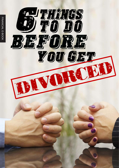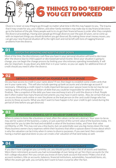# THINGS TO DO 'BEFORE' 6YOU GET DIVORCED THINGS TO DO 'BEFORE' 6YOU GET DIVORCED

Divorce is never an easy thing to go through no matter what time in life this may happen to you. The trauma that it may create for you, your children, and other family members may make day to day financial decisions go to the bottom of the pile. Many people wait to try to get their financial house in order after they complete the divorce proceedings. Having seen people go through divorces over the past 20 years, we've come up with six important things you should do before you get divorced. By making these smart money moves, you can get your new financial situation off to the right start and not be left with tons of nagging financial problems from the divorce.

# 01

### WATCH THE SPENDING AND KEEP THE DEBT DOWN

Most of the time, the discretionary cash flow you have in your personal situation will tend to decrease after the divorce due to child support or decreased personal income. Since your situation is going to change, you can begin the change process by limiting your discretionary spending immediately. It will also be important, to pay down any debt that is in your names, so you can apply for additional lines of credit should you need it after the divorce.

# 02

### **OBTAIN A CREDIT REPORT ON YOURSELF AND YOUR SPOUSE OBTAIN A CREDIT REPORT ON YOURSELF AND YOUR SPOUSE**

Do you have access to credit in your name alone? If not, then begin to establish some credit cards that are in your name only. This will also include opening up bank accounts and a brokerage account if necessary. Obtaining a credit report is really important because your spouse (soon to be ex) may be out racking up tens of thousands of dollars of debt that you could be responsible for when the divorce finalizes. Take a snapshot of the debt you have now and keep track of it until the divorce is final. People don't often realize how many financial instruments you may have in joint names. Also, be certain that you can access those cards online or over the phone as the lead person on the card could change who has access to those accounts. What you don't want to have happen is for your credit to get ruined during the period of time before you get divorced.

# 03

### **IF YOU OWN A BUSINESS, GET IT VALUED BY SOMEONE YOU TRUST IF YOU OWN A BUSINESS, GET IT VALUED BY SOMEONE YOU TRUST**

When it comes to items like a business or land, often the values can be very abstract. Your soon-to-be ex may ask for a piece of the business, a salary, or just a portion of the current value of the business today. It's important for you to take the lead and establish a value of the business today, and have that value certified by a CPA. This may cost you a few bucks, but can potentially save you big money down the road. Many business owners bury expenses within their business that often a spouse doesn't know about which is why the valuation can be tricky when it comes to divorce purposes. If you own land, then consider having a market appraisal done so you can create a fair valuation of that land today as well.

# 04

### **MAKE COPIES OF ALL FINANCIAL RECORDS AND STATEMENTS MAKE COPIES OF ALL FINANCIAL RECORDS AND STATEMENTS**

If you don't have a program you currently use, you should quickly make a list of all assets and liabilities. Were there retirement accounts you had no knowledge of ever being set up? Are there accounts for the kid's college education? Are you certain you know of every bank account that exists? Make a list of all, account numbers, title on accounts, balances, financial institutions, automobiles, household items, etc. When the assets get split, you certainly don't want to have a surprise after the fact.